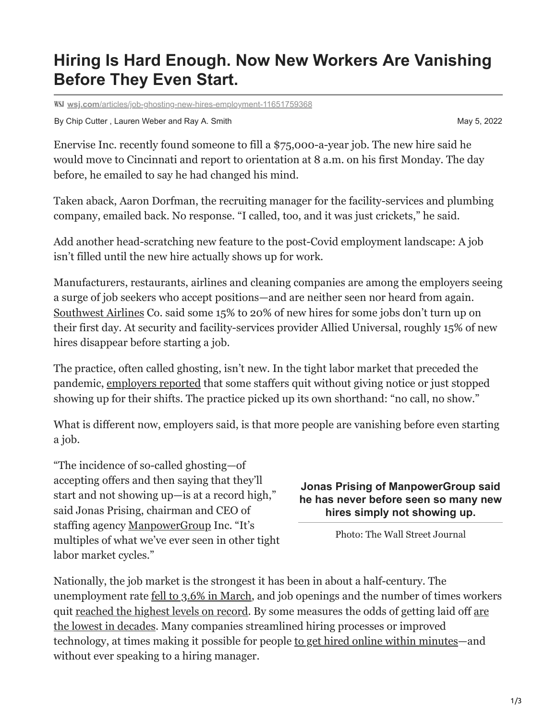# **Hiring Is Hard Enough. Now New Workers Are Vanishing Before They Even Start.**

**wsj.com**[/articles/job-ghosting-new-hires-employment-11651759368](https://www.wsj.com/articles/job-ghosting-new-hires-employment-11651759368?page=1)

By Chip Cutter, Lauren Weber and Ray A. Smith May 5, 2022

Enervise Inc. recently found someone to fill a \$75,000-a-year job. The new hire said he would move to Cincinnati and report to orientation at 8 a.m. on his first Monday. The day before, he emailed to say he had changed his mind.

Taken aback, Aaron Dorfman, the recruiting manager for the facility-services and plumbing company, emailed back. No response. "I called, too, and it was just crickets," he said.

Add another head-scratching new feature to the post-Covid employment landscape: A job isn't filled until the new hire actually shows up for work.

Manufacturers, restaurants, airlines and cleaning companies are among the employers seeing a surge of job seekers who accept positions—and are neither seen nor heard from again. [Southwest Airlines](https://www.wsj.com/market-data/quotes/LUV) Co. said some 15% to 20% of new hires for some jobs don't turn up on their first day. At security and facility-services provider Allied Universal, roughly 15% of new hires disappear before starting a job.

The practice, often called ghosting, isn't new. In the tight labor market that preceded the pandemic, [employers reported](https://www.wsj.com/articles/the-loneliest-job-in-a-tight-labor-market-11545224400?mod=article_inline) that some staffers quit without giving notice or just stopped showing up for their shifts. The practice picked up its own shorthand: "no call, no show."

What is different now, employers said, is that more people are vanishing before even starting a job.

"The incidence of so-called ghosting—of accepting offers and then saying that they'll start and not showing up—is at a record high," said Jonas Prising, chairman and CEO of staffing agency [ManpowerGroup](https://www.wsj.com/market-data/quotes/MAN) Inc. "It's multiples of what we've ever seen in other tight labor market cycles."

## **Jonas Prising of ManpowerGroup said he has never before seen so many new hires simply not showing up.**

Photo: The Wall Street Journal

Nationally, the job market is the strongest it has been in about a half-century. The unemployment rate [fell to 3.6% in March,](http://10.10.0.46/data-production/pdf_1651873988_223bba.html) and job openings and the number of times workers [quit](https://www.wsj.com/articles/transformed-labor-market-means-odds-of-getting-laid-off-at-historic-lows-11650015003?mod=article_inline) [reached the highest levels on record](https://www.wsj.com/articles/job-openings-us-growth-labor-market-turnover-march-2022-11651529531?mod=article_inline)[. By some measures the odds of getting laid off are](https://www.wsj.com/articles/transformed-labor-market-means-odds-of-getting-laid-off-at-historic-lows-11650015003?mod=article_inline) the lowest in decades. Many companies streamlined hiring processes or improved technology, at times making it possible for people [to get hired online within minutes—](https://www.wsj.com/articles/help-really-wanted-no-degree-work-experience-or-background-checks-11636196307?mod=article_inline)and without ever speaking to a hiring manager.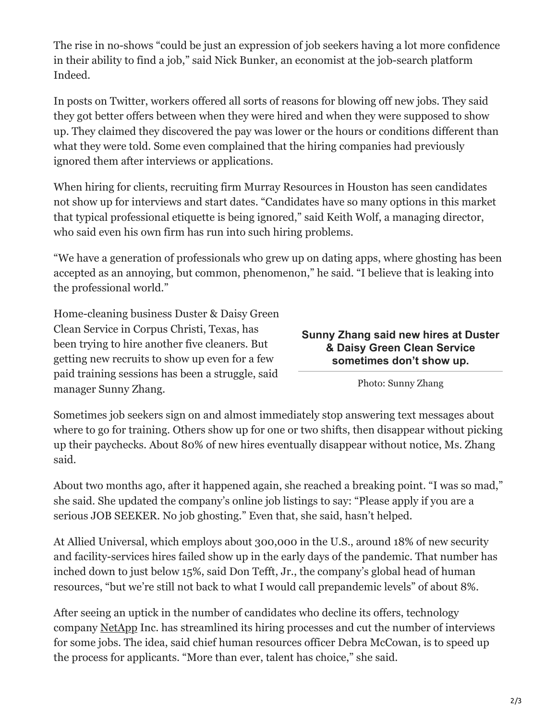The rise in no-shows "could be just an expression of job seekers having a lot more confidence in their ability to find a job," said Nick Bunker, an economist at the job-search platform Indeed.

In posts on Twitter, workers offered all sorts of reasons for blowing off new jobs. They said they got better offers between when they were hired and when they were supposed to show up. They claimed they discovered the pay was lower or the hours or conditions different than what they were told. Some even complained that the hiring companies had previously ignored them after interviews or applications.

When hiring for clients, recruiting firm Murray Resources in Houston has seen candidates not show up for interviews and start dates. "Candidates have so many options in this market that typical professional etiquette is being ignored," said Keith Wolf, a managing director, who said even his own firm has run into such hiring problems.

"We have a generation of professionals who grew up on dating apps, where ghosting has been accepted as an annoying, but common, phenomenon," he said. "I believe that is leaking into the professional world."

Home-cleaning business Duster & Daisy Green Clean Service in Corpus Christi, Texas, has been trying to hire another five cleaners. But getting new recruits to show up even for a few paid training sessions has been a struggle, said manager Sunny Zhang.

### **Sunny Zhang said new hires at Duster & Daisy Green Clean Service sometimes don't show up.**

Photo: Sunny Zhang

Sometimes job seekers sign on and almost immediately stop answering text messages about where to go for training. Others show up for one or two shifts, then disappear without picking up their paychecks. About 80% of new hires eventually disappear without notice, Ms. Zhang said.

About two months ago, after it happened again, she reached a breaking point. "I was so mad," she said. She updated the company's online job listings to say: "Please apply if you are a serious JOB SEEKER. No job ghosting." Even that, she said, hasn't helped.

At Allied Universal, which employs about 300,000 in the U.S., around 18% of new security and facility-services hires failed show up in the early days of the pandemic. That number has inched down to just below 15%, said Don Tefft, Jr., the company's global head of human resources, "but we're still not back to what I would call prepandemic levels" of about 8%.

After seeing an uptick in the number of candidates who decline its offers, technology company [NetApp](https://www.wsj.com/market-data/quotes/NTAP) Inc. has streamlined its hiring processes and cut the number of interviews for some jobs. The idea, said chief human resources officer Debra McCowan, is to speed up the process for applicants. "More than ever, talent has choice," she said.